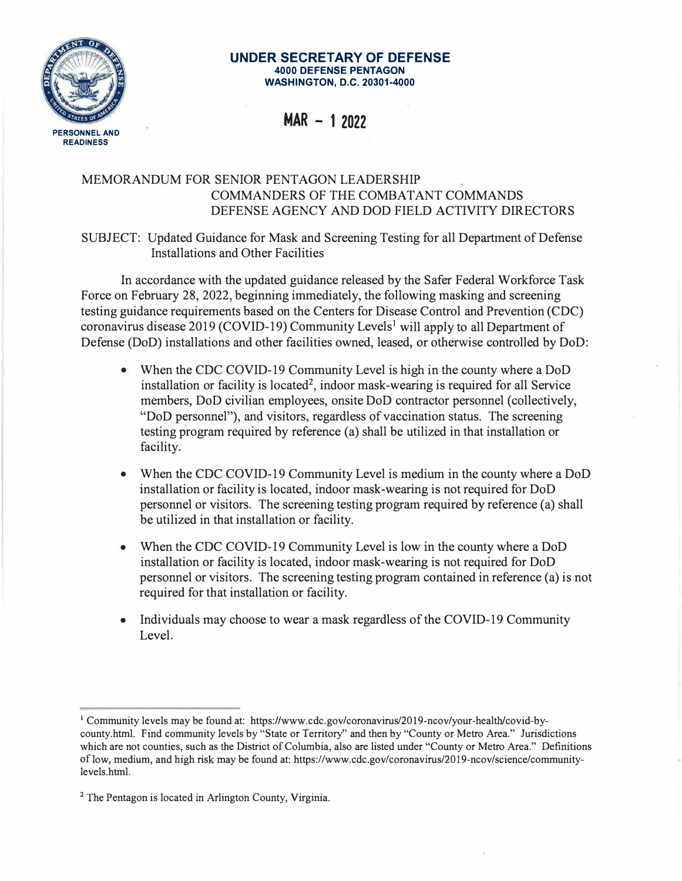

## **UNDER SECRETARY OF DEFENSE 4000 DEFENSE PENTAGON WASHINGTON, D.C. 20301-4000**

**MAR - 1 2022** 

## MEMORANDUM FOR SENIOR PENTAGON LEADERSHIP COMMANDERS OF THE COMBATANT COMMANDS DEFENSE AGENCY AND DOD FIELD ACTIVITY DIRECTORS

SUBJECT: Updated Guidance for Mask and Screening Testing for all Department of Defense Installations and Other Facilities

In accordance with the updated guidance released by the Safer Federal Workforce Task Force on February 28, 2022, beginning immediately, the following masking and screening testing guidance requirements based on the Centers for Disease Control and Prevention (CDC) coronavirus disease 2019 (COVID-19) Community Levels<sup>1</sup> will apply to all Department of Defense (DoD) installations and other facilities owned, leased, or otherwise controlled by DoD:

- When the CDC COVID-19 Community Level is high in the county where a DoD installation or facility is located<sup>2</sup>, indoor mask-wearing is required for all Service members, DoD civilian employees, onsite DoD contractor personnel (collectively, "DoD personnel"), and visitors, regardless of vaccination status. The screening testing program required by reference (a) shall be utilized in that installation or facility.
- When the CDC COVID-19 Community Level is medium in the county where a DoD installation or facility is located, indoor mask-wearing is not required for DoD personnel or visitors. The screening testing program required by reference (a) shall be utilized in that installation or facility.
- When the CDC COVID-19 Community Level is low in the county where a DoD installation or facility is located, indoor mask-wearing is not required for DoD personnel or visitors. The screening testing program contained in reference (a) is not required for that installation or facility.
- Individuals may choose to wear a mask regardless of the COVID-19 Community Level.

<sup>1</sup> Community levels may be found at: https://www.cdc.gov/coronavirus/2019-ncov/your-health/covid-bycounty.html. Find community levels by "State or Territory" and then by "County or Metro Area." Jurisdictions which are not counties, such as the District of Columbia, also are listed under "County or Metro Area." Definitions of low, medium, and high risk may be found at: https:/ /www.cdc.gov/coronavirus/2019-ncov/science/communitylevels.html.

**<sup>2</sup>** The Pentagon is located in Arlington County, Virginia.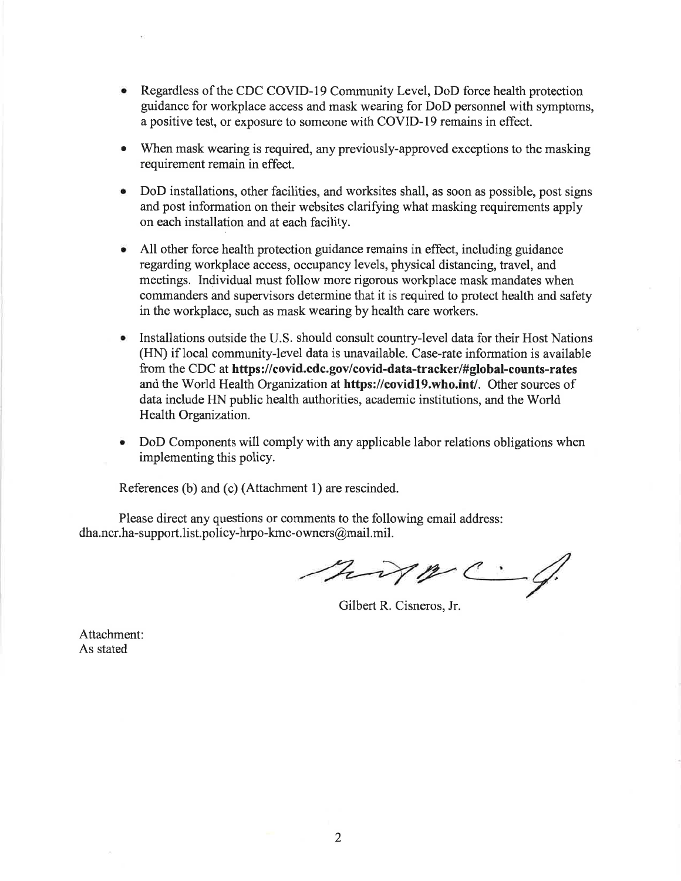- Regardless of the CDC COVID-19 Community Level, DoD force health protection guidance for workplace access and mask wearing for DoD personnel with symptoms. a positive test, or exposure to someone with COVID-19 remains in effect.
- When mask wearing is required, any previously-approved exceptions to the masking requirement remain in effect.
- DoD installations, other facilities, and worksites shall, as soon as possible, post signs and post information on their websites clarifying what masking requirements apply on each installation and at each facility.
- All other force health protection guidance remains in effect, including guidance regarding workplace access, occupancy levels, physical distancing, travel, and meetings. Individual must follow more rigorous workplace mask mandates when commanders and supervisors determine that it is required to protect health and safety in the workplace, such as mask wearing by health care workers.
- Installations outside the U.S. should consult country-level data for their Host Nations (HN) if local community-level data is unavailable. Case-rate information is available from the CDC at https://covid.cdc.gov/covid-data-tracker/#global-counts-rates and the World Health Organization at https://covid19.who.int/. Other sources of data include HN public health authorities, academic institutions, and the World Health Organization.
- DoD Components will comply with any applicable labor relations obligations when implementing this policy.

References (b) and (c) (Attachment 1) are rescinded.

Please direct any questions or comments to the following email address: dha.ncr.ha-support.list.policy-hrpo-kmc-owners@mail.mil.

hypc.

Gilbert R. Cisneros, Jr.

Attachment: As stated